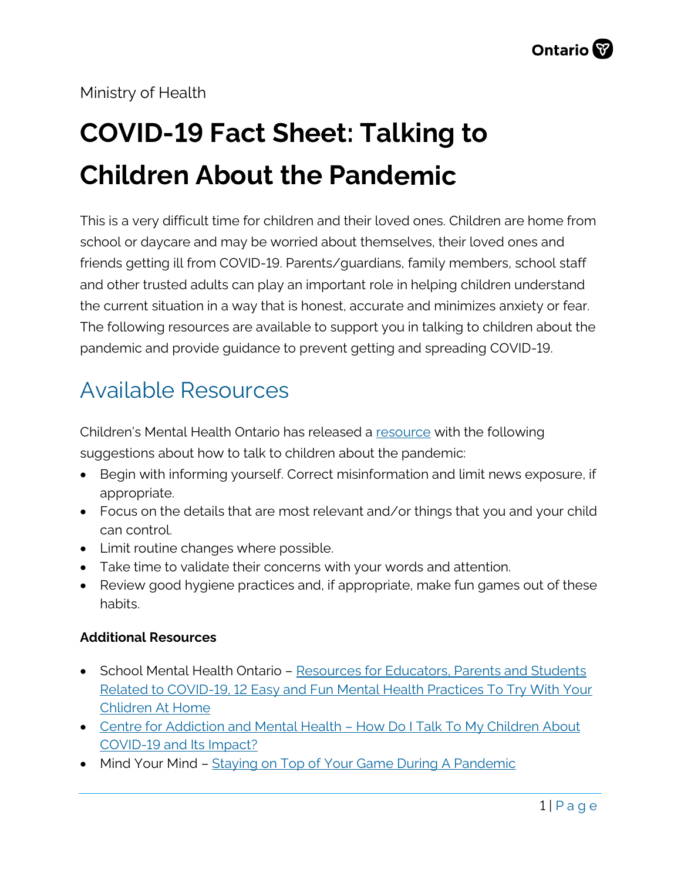#### Ministry of Health

# **COVID-19 Fact Sheet: Talking to Children About the Pandemic**

This is a very difficult time for children and their loved ones. Children are home from school or daycare and may be worried about themselves, their loved ones and friends getting ill from COVID-19. Parents/guardians, family members, school staff and other trusted adults can play an important role in helping children understand the current situation in a way that is honest, accurate and minimizes anxiety or fear. The following resources are available to support you in talking to children about the pandemic and provide guidance to prevent getting and spreading COVID-19.

### Available Resources

Children's Mental Health Ontario has released a [resource](https://www.cmho.org/blog/blog-news/6519918-talking-to-your-anxious-child-about-covid-19) with the following suggestions about how to talk to children about the pandemic:

- Begin with informing yourself. Correct misinformation and limit news exposure, if appropriate.
- Focus on the details that are most relevant and/or things that you and your child can control.
- Limit routine changes where possible.
- Take time to validate their concerns with your words and attention.
- Review good hygiene practices and, if appropriate, make fun games out of these habits.

#### **Additional Resources**

- School Mental Health Ontario – [Resources for Educators, Parents and Students](https://smho-smso.ca/blog/how-to-support-student-mental-health-during-the-covid-19-pandemic/) [Related to COVID-19,](https://smho-smso.ca/blog/how-to-support-student-mental-health-during-the-covid-19-pandemic/) [12 Easy and Fun Mental Health Practices To Try With Your](https://smho-smso.ca/blog/12-easy-and-fun-mental-health-practices-to-try-with-your-children-at-home/) [Chlidren At Home](https://smho-smso.ca/blog/12-easy-and-fun-mental-health-practices-to-try-with-your-children-at-home/)
- Centre for Addiction and Mental Health - [How Do I Talk To My Children About](https://www.camh.ca/en/health-info/mental-health-and-covid-19) [COVID-19 and Its Impact?](https://www.camh.ca/en/health-info/mental-health-and-covid-19)
- Mind Your Mind - [Staying on Top of Your Game](https://mindyourmind.ca/blog/6-tips-staying-top-your-game-during-pandemic) During A Pandemic